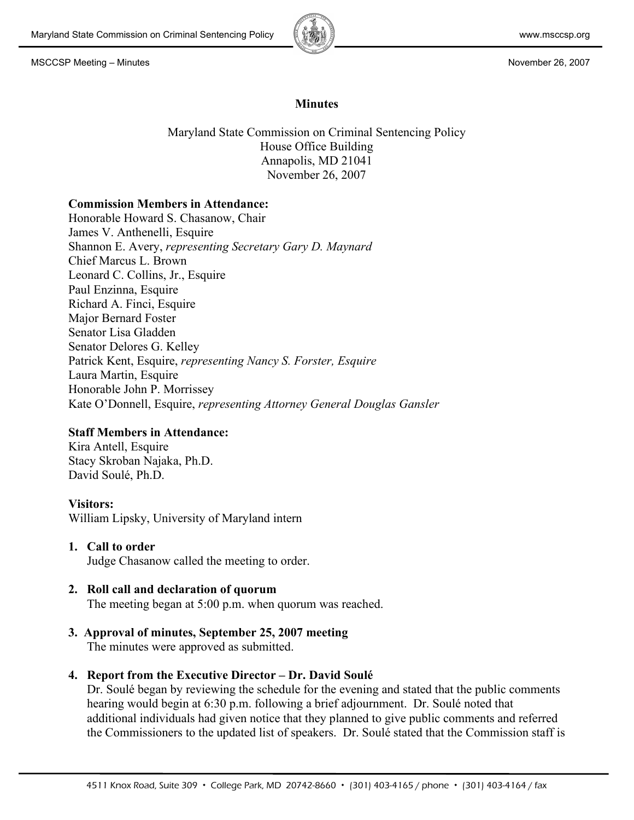

# **Minutes**

Maryland State Commission on Criminal Sentencing Policy House Office Building Annapolis, MD 21041 November 26, 2007

### **Commission Members in Attendance:**

Honorable Howard S. Chasanow, Chair James V. Anthenelli, Esquire Shannon E. Avery, *representing Secretary Gary D. Maynard* Chief Marcus L. Brown Leonard C. Collins, Jr., Esquire Paul Enzinna, Esquire Richard A. Finci, Esquire Major Bernard Foster Senator Lisa Gladden Senator Delores G. Kelley Patrick Kent, Esquire, *representing Nancy S. Forster, Esquire* Laura Martin, Esquire Honorable John P. Morrissey Kate O'Donnell, Esquire, *representing Attorney General Douglas Gansler*

# **Staff Members in Attendance:**

Kira Antell, Esquire Stacy Skroban Najaka, Ph.D. David Soulé, Ph.D.

### **Visitors:**

William Lipsky, University of Maryland intern

- **1. Call to order** Judge Chasanow called the meeting to order.
- **2. Roll call and declaration of quorum** The meeting began at 5:00 p.m. when quorum was reached.
- **3. Approval of minutes, September 25, 2007 meeting**  The minutes were approved as submitted.
- **4. Report from the Executive Director – Dr. David Soulé**

Dr. Soulé began by reviewing the schedule for the evening and stated that the public comments hearing would begin at 6:30 p.m. following a brief adjournment. Dr. Soulé noted that additional individuals had given notice that they planned to give public comments and referred the Commissioners to the updated list of speakers. Dr. Soulé stated that the Commission staff is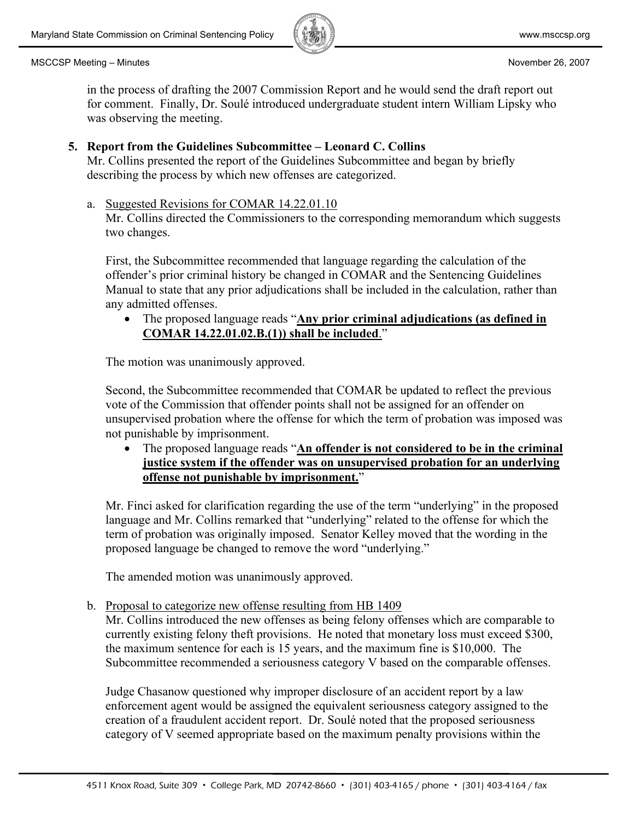

in the process of drafting the 2007 Commission Report and he would send the draft report out for comment. Finally, Dr. Soulé introduced undergraduate student intern William Lipsky who was observing the meeting.

# **5. Report from the Guidelines Subcommittee – Leonard C. Collins**

Mr. Collins presented the report of the Guidelines Subcommittee and began by briefly describing the process by which new offenses are categorized.

### a. Suggested Revisions for COMAR 14.22.01.10

Mr. Collins directed the Commissioners to the corresponding memorandum which suggests two changes.

First, the Subcommittee recommended that language regarding the calculation of the offender's prior criminal history be changed in COMAR and the Sentencing Guidelines Manual to state that any prior adjudications shall be included in the calculation, rather than any admitted offenses.

• The proposed language reads "**Any prior criminal adjudications (as defined in COMAR 14.22.01.02.B.(1)) shall be included**."

The motion was unanimously approved.

Second, the Subcommittee recommended that COMAR be updated to reflect the previous vote of the Commission that offender points shall not be assigned for an offender on unsupervised probation where the offense for which the term of probation was imposed was not punishable by imprisonment.

• The proposed language reads "**An offender is not considered to be in the criminal justice system if the offender was on unsupervised probation for an underlying offense not punishable by imprisonment.**"

Mr. Finci asked for clarification regarding the use of the term "underlying" in the proposed language and Mr. Collins remarked that "underlying" related to the offense for which the term of probation was originally imposed. Senator Kelley moved that the wording in the proposed language be changed to remove the word "underlying."

The amended motion was unanimously approved.

b. Proposal to categorize new offense resulting from HB 1409

Mr. Collins introduced the new offenses as being felony offenses which are comparable to currently existing felony theft provisions. He noted that monetary loss must exceed \$300, the maximum sentence for each is 15 years, and the maximum fine is \$10,000. The Subcommittee recommended a seriousness category V based on the comparable offenses.

Judge Chasanow questioned why improper disclosure of an accident report by a law enforcement agent would be assigned the equivalent seriousness category assigned to the creation of a fraudulent accident report. Dr. Soulé noted that the proposed seriousness category of V seemed appropriate based on the maximum penalty provisions within the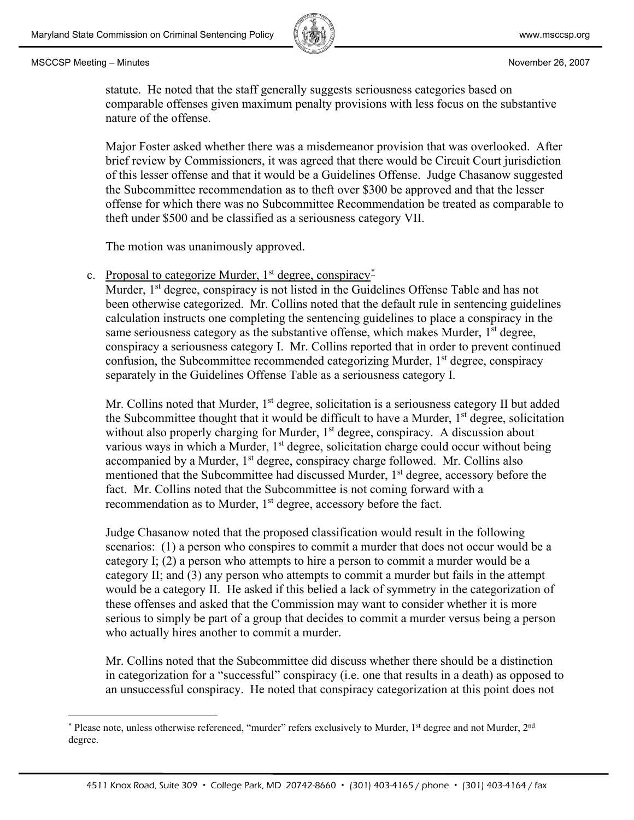nature of the offense.



statute. He noted that the staff generally suggests seriousness categories based on comparable offenses given maximum penalty provisions with less focus on the substantive

Major Foster asked whether there was a misdemeanor provision that was overlooked. After brief review by Commissioners, it was agreed that there would be Circuit Court jurisdiction of this lesser offense and that it would be a Guidelines Offense. Judge Chasanow suggested the Subcommittee recommendation as to theft over \$300 be approved and that the lesser offense for which there was no Subcommittee Recommendation be treated as comparable to theft under \$500 and be classified as a seriousness category VII.

The motion was unanimously approved.

c. Proposal to categorize Murder, 1<sup>st</sup> degree, conspiracy<sup>[\\*](#page-2-0)</sup>

Murder, 1<sup>st</sup> degree, conspiracy is not listed in the Guidelines Offense Table and has not been otherwise categorized. Mr. Collins noted that the default rule in sentencing guidelines calculation instructs one completing the sentencing guidelines to place a conspiracy in the same seriousness category as the substantive offense, which makes Murder, 1<sup>st</sup> degree, conspiracy a seriousness category I. Mr. Collins reported that in order to prevent continued confusion, the Subcommittee recommended categorizing Murder, 1<sup>st</sup> degree, conspiracy separately in the Guidelines Offense Table as a seriousness category I.

Mr. Collins noted that Murder,  $1<sup>st</sup>$  degree, solicitation is a seriousness category II but added the Subcommittee thought that it would be difficult to have a Murder, 1<sup>st</sup> degree, solicitation without also properly charging for Murder, 1<sup>st</sup> degree, conspiracy. A discussion about various ways in which a Murder,  $1<sup>st</sup>$  degree, solicitation charge could occur without being accompanied by a Murder,  $1<sup>st</sup>$  degree, conspiracy charge followed. Mr. Collins also mentioned that the Subcommittee had discussed Murder, 1<sup>st</sup> degree, accessory before the fact. Mr. Collins noted that the Subcommittee is not coming forward with a recommendation as to Murder,  $1<sup>st</sup>$  degree, accessory before the fact.

Judge Chasanow noted that the proposed classification would result in the following scenarios: (1) a person who conspires to commit a murder that does not occur would be a category I; (2) a person who attempts to hire a person to commit a murder would be a category II; and (3) any person who attempts to commit a murder but fails in the attempt would be a category II. He asked if this belied a lack of symmetry in the categorization of these offenses and asked that the Commission may want to consider whether it is more serious to simply be part of a group that decides to commit a murder versus being a person who actually hires another to commit a murder.

Mr. Collins noted that the Subcommittee did discuss whether there should be a distinction in categorization for a "successful" conspiracy (i.e. one that results in a death) as opposed to an unsuccessful conspiracy. He noted that conspiracy categorization at this point does not

<span id="page-2-0"></span><sup>\*</sup> Please note, unless otherwise referenced, "murder" refers exclusively to Murder, 1<sup>st</sup> degree and not Murder, 2<sup>nd</sup> degree.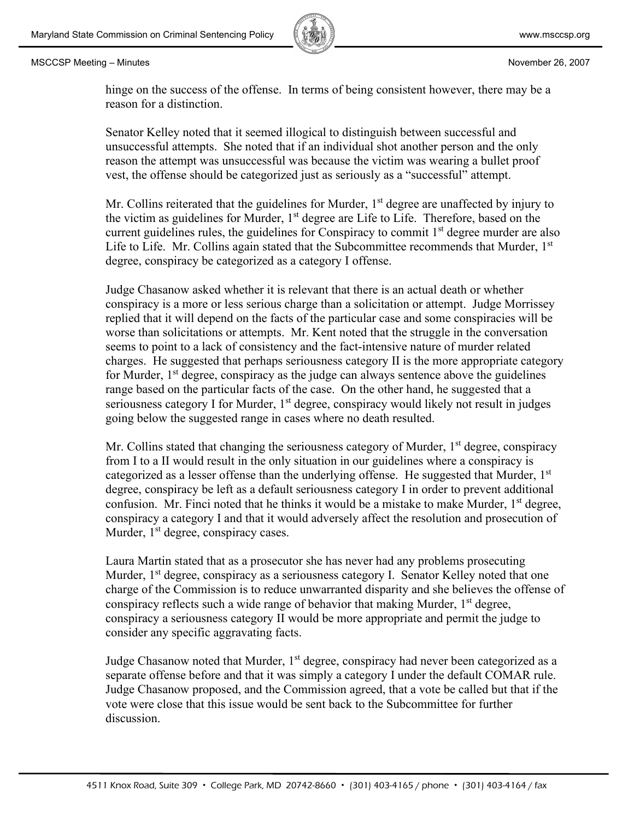

hinge on the success of the offense. In terms of being consistent however, there may be a reason for a distinction.

Senator Kelley noted that it seemed illogical to distinguish between successful and unsuccessful attempts. She noted that if an individual shot another person and the only reason the attempt was unsuccessful was because the victim was wearing a bullet proof vest, the offense should be categorized just as seriously as a "successful" attempt.

Mr. Collins reiterated that the guidelines for Murder,  $1<sup>st</sup>$  degree are unaffected by injury to the victim as guidelines for Murder, 1<sup>st</sup> degree are Life to Life. Therefore, based on the current guidelines rules, the guidelines for Conspiracy to commit 1<sup>st</sup> degree murder are also Life to Life. Mr. Collins again stated that the Subcommittee recommends that Murder, 1<sup>st</sup> degree, conspiracy be categorized as a category I offense.

Judge Chasanow asked whether it is relevant that there is an actual death or whether conspiracy is a more or less serious charge than a solicitation or attempt. Judge Morrissey replied that it will depend on the facts of the particular case and some conspiracies will be worse than solicitations or attempts. Mr. Kent noted that the struggle in the conversation seems to point to a lack of consistency and the fact-intensive nature of murder related charges. He suggested that perhaps seriousness category II is the more appropriate category for Murder,  $1<sup>st</sup>$  degree, conspiracy as the judge can always sentence above the guidelines range based on the particular facts of the case. On the other hand, he suggested that a seriousness category I for Murder, 1<sup>st</sup> degree, conspiracy would likely not result in judges going below the suggested range in cases where no death resulted.

Mr. Collins stated that changing the seriousness category of Murder,  $1<sup>st</sup>$  degree, conspiracy from I to a II would result in the only situation in our guidelines where a conspiracy is categorized as a lesser offense than the underlying offense. He suggested that Murder, 1<sup>st</sup> degree, conspiracy be left as a default seriousness category I in order to prevent additional confusion. Mr. Finci noted that he thinks it would be a mistake to make Murder, 1<sup>st</sup> degree, conspiracy a category I and that it would adversely affect the resolution and prosecution of Murder,  $1<sup>st</sup>$  degree, conspiracy cases.

Laura Martin stated that as a prosecutor she has never had any problems prosecuting Murder, 1<sup>st</sup> degree, conspiracy as a seriousness category I. Senator Kelley noted that one charge of the Commission is to reduce unwarranted disparity and she believes the offense of conspiracy reflects such a wide range of behavior that making Murder, 1<sup>st</sup> degree, conspiracy a seriousness category II would be more appropriate and permit the judge to consider any specific aggravating facts.

Judge Chasanow noted that Murder,  $1<sup>st</sup>$  degree, conspiracy had never been categorized as a separate offense before and that it was simply a category I under the default COMAR rule. Judge Chasanow proposed, and the Commission agreed, that a vote be called but that if the vote were close that this issue would be sent back to the Subcommittee for further discussion.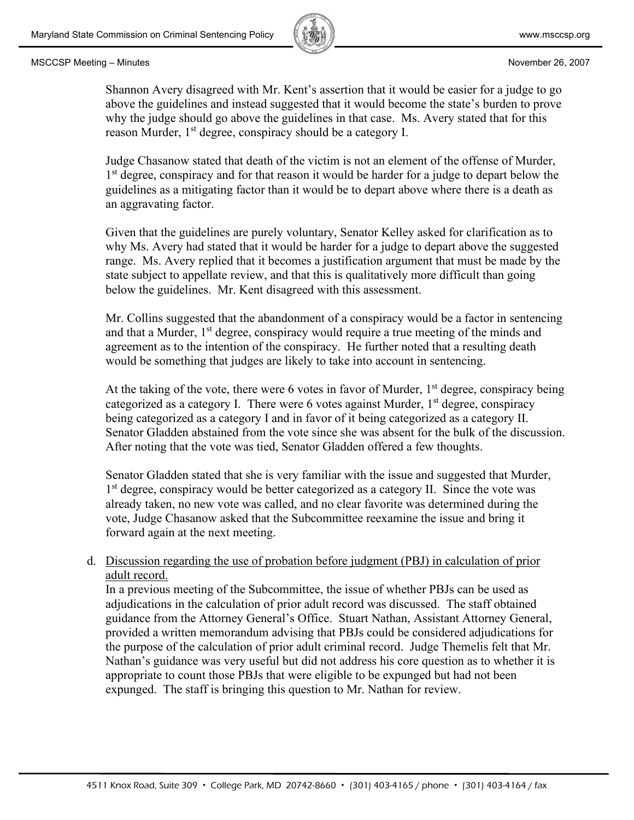

Shannon Avery disagreed with Mr. Kent's assertion that it would be easier for a judge to go above the guidelines and instead suggested that it would become the state's burden to prove why the judge should go above the guidelines in that case. Ms. Avery stated that for this reason Murder,  $1<sup>st</sup>$  degree, conspiracy should be a category I.

Judge Chasanow stated that death of the victim is not an element of the offense of Murder, 1<sup>st</sup> degree, conspiracy and for that reason it would be harder for a judge to depart below the guidelines as a mitigating factor than it would be to depart above where there is a death as an aggravating factor.

Given that the guidelines are purely voluntary, Senator Kelley asked for clarification as to why Ms. Avery had stated that it would be harder for a judge to depart above the suggested range. Ms. Avery replied that it becomes a justification argument that must be made by the state subject to appellate review, and that this is qualitatively more difficult than going below the guidelines. Mr. Kent disagreed with this assessment.

Mr. Collins suggested that the abandonment of a conspiracy would be a factor in sentencing and that a Murder,  $1<sup>st</sup>$  degree, conspiracy would require a true meeting of the minds and agreement as to the intention of the conspiracy. He further noted that a resulting death would be something that judges are likely to take into account in sentencing.

At the taking of the vote, there were 6 votes in favor of Murder,  $1<sup>st</sup>$  degree, conspiracy being categorized as a category I. There were 6 votes against Murder,  $1<sup>st</sup>$  degree, conspiracy being categorized as a category I and in favor of it being categorized as a category II. Senator Gladden abstained from the vote since she was absent for the bulk of the discussion. After noting that the vote was tied, Senator Gladden offered a few thoughts.

Senator Gladden stated that she is very familiar with the issue and suggested that Murder, 1<sup>st</sup> degree, conspiracy would be better categorized as a category II. Since the vote was already taken, no new vote was called, and no clear favorite was determined during the vote, Judge Chasanow asked that the Subcommittee reexamine the issue and bring it forward again at the next meeting.

# d. Discussion regarding the use of probation before judgment (PBJ) in calculation of prior adult record.

In a previous meeting of the Subcommittee, the issue of whether PBJs can be used as adjudications in the calculation of prior adult record was discussed. The staff obtained guidance from the Attorney General's Office. Stuart Nathan, Assistant Attorney General, provided a written memorandum advising that PBJs could be considered adjudications for the purpose of the calculation of prior adult criminal record. Judge Themelis felt that Mr. Nathan's guidance was very useful but did not address his core question as to whether it is appropriate to count those PBJs that were eligible to be expunged but had not been expunged. The staff is bringing this question to Mr. Nathan for review.